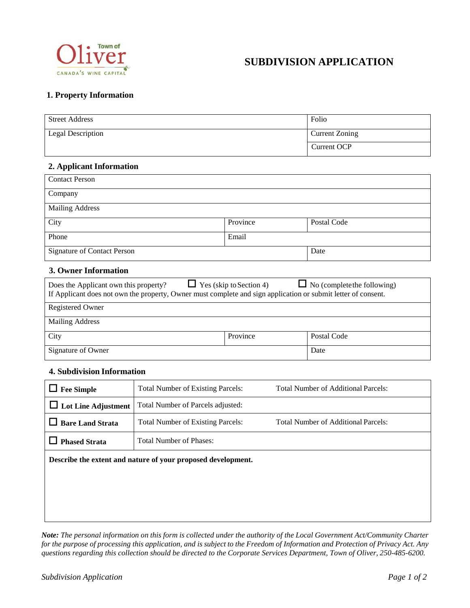

# **SUBDIVISION APPLICATION**

# **1. Property Information**

| <b>Street Address</b>    | Folio          |
|--------------------------|----------------|
| <b>Legal Description</b> | Current Zoning |
|                          | Current OCP    |

# **2. Applicant Information**

| <b>Contact Person</b>              |          |             |
|------------------------------------|----------|-------------|
| Company                            |          |             |
| <b>Mailing Address</b>             |          |             |
| City                               | Province | Postal Code |
| Phone                              | Email    |             |
| <b>Signature of Contact Person</b> |          | Date        |

# **3. Owner Information**

| $\Box$ Yes (skip to Section 4)<br>$\Box$ No (complete the following)<br>Does the Applicant own this property?<br>If Applicant does not own the property, Owner must complete and sign application or submit letter of consent. |          |             |
|--------------------------------------------------------------------------------------------------------------------------------------------------------------------------------------------------------------------------------|----------|-------------|
| <b>Registered Owner</b>                                                                                                                                                                                                        |          |             |
|                                                                                                                                                                                                                                |          |             |
| <b>Mailing Address</b>                                                                                                                                                                                                         |          |             |
| City                                                                                                                                                                                                                           | Province | Postal Code |
| Signature of Owner                                                                                                                                                                                                             |          | Date        |

### **4. Subdivision Information**

| <b>Fee Simple</b>                                            | <b>Total Number of Existing Parcels:</b> | Total Number of Additional Parcels:        |
|--------------------------------------------------------------|------------------------------------------|--------------------------------------------|
| $\Box$ Lot Line Adjustment                                   | Total Number of Parcels adjusted:        |                                            |
| <b>Bare Land Strata</b>                                      | <b>Total Number of Existing Parcels:</b> | <b>Total Number of Additional Parcels:</b> |
| <b>Phased Strata</b>                                         | <b>Total Number of Phases:</b>           |                                            |
| Describe the extent and nature of your proposed development. |                                          |                                            |
|                                                              |                                          |                                            |
|                                                              |                                          |                                            |
|                                                              |                                          |                                            |

*Note: The personal information on this form is collected under the authority of the Local Government Act/Community Charter for the purpose of processing this application, and is subject to the Freedom of Information and Protection of Privacy Act. Any questions regarding this collection should be directed to the Corporate Services Department, Town of Oliver, 250-485-6200.*

a l